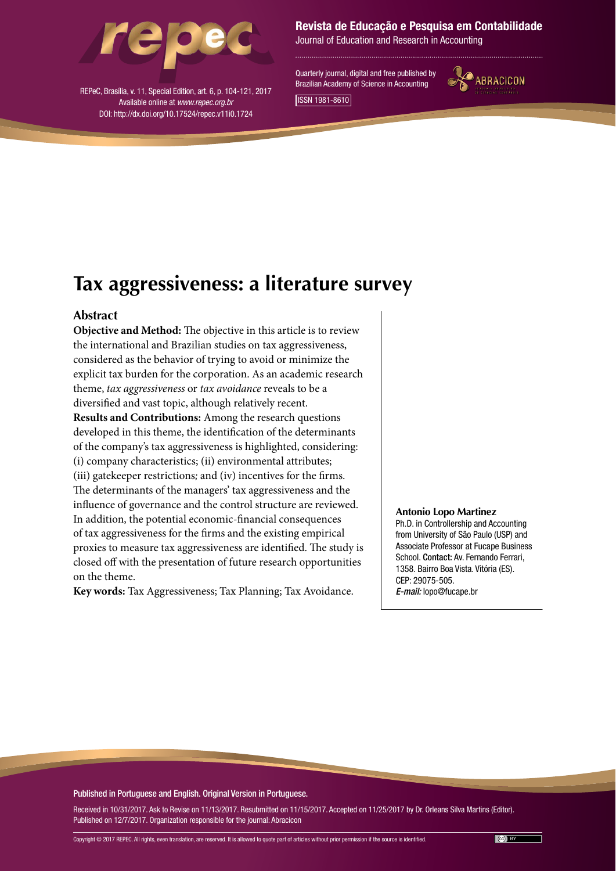

REPeC, Brasília, v. 11, Special Edition, art. 6, p. 104-121, 2017 Available online at *www.repec.org.br* DOI: http://dx.doi.org/10.17524/repec.v11i0.1724

Revista de Educação e Pesquisa em Contabilidade

Journal of Education and Research in Accounting

Quarterly journal, digital and free published by Brazilian Academy of Science in Accounting



ISSN 1981-8610

# **Tax aggressiveness: a literature survey**

## **Abstract**

**Objective and Method:** The objective in this article is to review the international and Brazilian studies on tax aggressiveness, considered as the behavior of trying to avoid or minimize the explicit tax burden for the corporation. As an academic research theme, *tax aggressiveness* or *tax avoidance* reveals to be a diversified and vast topic, although relatively recent. **Results and Contributions:** Among the research questions developed in this theme, the identification of the determinants of the company's tax aggressiveness is highlighted, considering: (i) company characteristics; (ii) environmental attributes; (iii) gatekeeper restrictions*;* and (iv) incentives for the firms. The determinants of the managers' tax aggressiveness and the influence of governance and the control structure are reviewed.

In addition, the potential economic-financial consequences of tax aggressiveness for the firms and the existing empirical proxies to measure tax aggressiveness are identified. The study is closed off with the presentation of future research opportunities on the theme.

**Key words:** Tax Aggressiveness; Tax Planning; Tax Avoidance.

#### **Antonio Lopo Martinez**

Ph.D. in Controllership and Accounting from University of São Paulo (USP) and Associate Professor at Fucape Business School. Contact: Av. Fernando Ferrari, 1358. Bairro Boa Vista. Vitória (ES). CEP: 29075-505. *E-mail:* lopo@fucape.br

#### Published in Portuguese and English. Original Version in Portuguese.

Received in 10/31/2017. Ask to Revise on 11/13/2017. Resubmitted on 11/15/2017. Accepted on 11/25/2017 by Dr. Orleans Silva Martins (Editor). Published on 12/7/2017. Organization responsible for the journal: Abracicon

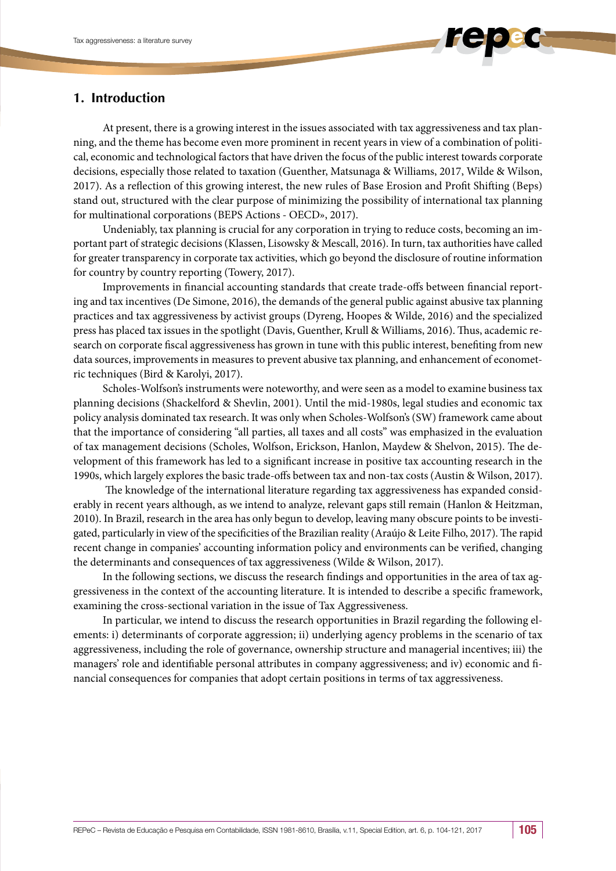

At present, there is a growing interest in the issues associated with tax aggressiveness and tax planning, and the theme has become even more prominent in recent years in view of a combination of political, economic and technological factors that have driven the focus of the public interest towards corporate decisions, especially those related to taxation (Guenther, Matsunaga & Williams, 2017, Wilde & Wilson, 2017). As a reflection of this growing interest, the new rules of Base Erosion and Profit Shifting (Beps) stand out, structured with the clear purpose of minimizing the possibility of international tax planning for multinational corporations (BEPS Actions - OECD», 2017).

Undeniably, tax planning is crucial for any corporation in trying to reduce costs, becoming an important part of strategic decisions (Klassen, Lisowsky & Mescall, 2016). In turn, tax authorities have called for greater transparency in corporate tax activities, which go beyond the disclosure of routine information for country by country reporting (Towery, 2017).

Improvements in financial accounting standards that create trade-offs between financial reporting and tax incentives (De Simone, 2016), the demands of the general public against abusive tax planning practices and tax aggressiveness by activist groups (Dyreng, Hoopes & Wilde, 2016) and the specialized press has placed tax issues in the spotlight (Davis, Guenther, Krull & Williams, 2016). Thus, academic research on corporate fiscal aggressiveness has grown in tune with this public interest, benefiting from new data sources, improvements in measures to prevent abusive tax planning, and enhancement of econometric techniques (Bird & Karolyi, 2017).

Scholes-Wolfson's instruments were noteworthy, and were seen as a model to examine business tax planning decisions (Shackelford & Shevlin, 2001). Until the mid-1980s, legal studies and economic tax policy analysis dominated tax research. It was only when Scholes-Wolfson's (SW) framework came about that the importance of considering "all parties, all taxes and all costs" was emphasized in the evaluation of tax management decisions (Scholes, Wolfson, Erickson, Hanlon, Maydew & Shelvon, 2015). The development of this framework has led to a significant increase in positive tax accounting research in the 1990s, which largely explores the basic trade-offs between tax and non-tax costs (Austin & Wilson, 2017).

 The knowledge of the international literature regarding tax aggressiveness has expanded considerably in recent years although, as we intend to analyze, relevant gaps still remain (Hanlon & Heitzman, 2010). In Brazil, research in the area has only begun to develop, leaving many obscure points to be investigated, particularly in view of the specificities of the Brazilian reality (Araújo & Leite Filho, 2017). The rapid recent change in companies' accounting information policy and environments can be verified, changing the determinants and consequences of tax aggressiveness (Wilde & Wilson, 2017).

In the following sections, we discuss the research findings and opportunities in the area of tax aggressiveness in the context of the accounting literature. It is intended to describe a specific framework, examining the cross-sectional variation in the issue of Tax Aggressiveness.

In particular, we intend to discuss the research opportunities in Brazil regarding the following elements: i) determinants of corporate aggression; ii) underlying agency problems in the scenario of tax aggressiveness, including the role of governance, ownership structure and managerial incentives; iii) the managers' role and identifiable personal attributes in company aggressiveness; and iv) economic and financial consequences for companies that adopt certain positions in terms of tax aggressiveness.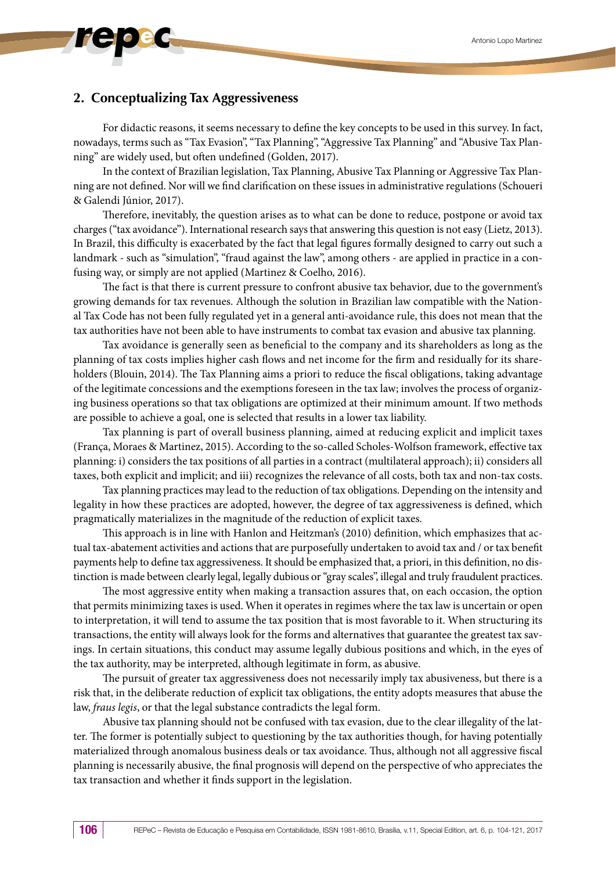## **2. Conceptualizing Tax Aggressiveness**

For didactic reasons, it seems necessary to define the key concepts to be used in this survey. In fact, nowadays, terms such as "Tax Evasion", "Tax Planning", "Aggressive Tax Planning" and "Abusive Tax Planning" are widely used, but often undefined (Golden, 2017).

In the context of Brazilian legislation, Tax Planning, Abusive Tax Planning or Aggressive Tax Planning are not defined. Nor will we find clarification on these issues in administrative regulations (Schoueri & Galendi Júnior, 2017).

Therefore, inevitably, the question arises as to what can be done to reduce, postpone or avoid tax charges ("tax avoidance"). International research says that answering this question is not easy (Lietz, 2013). In Brazil, this difficulty is exacerbated by the fact that legal figures formally designed to carry out such a landmark - such as "simulation", "fraud against the law", among others - are applied in practice in a confusing way, or simply are not applied (Martinez & Coelho, 2016).

The fact is that there is current pressure to confront abusive tax behavior, due to the government's growing demands for tax revenues. Although the solution in Brazilian law compatible with the National Tax Code has not been fully regulated yet in a general anti-avoidance rule, this does not mean that the tax authorities have not been able to have instruments to combat tax evasion and abusive tax planning.

Tax avoidance is generally seen as beneficial to the company and its shareholders as long as the planning of tax costs implies higher cash flows and net income for the firm and residually for its shareholders (Blouin, 2014). The Tax Planning aims a priori to reduce the fiscal obligations, taking advantage of the legitimate concessions and the exemptions foreseen in the tax law; involves the process of organizing business operations so that tax obligations are optimized at their minimum amount. If two methods are possible to achieve a goal, one is selected that results in a lower tax liability.

Tax planning is part of overall business planning, aimed at reducing explicit and implicit taxes (França, Moraes & Martinez, 2015). According to the so-called Scholes-Wolfson framework, effective tax planning: i) considers the tax positions of all parties in a contract (multilateral approach); ii) considers all taxes, both explicit and implicit; and iii) recognizes the relevance of all costs, both tax and non-tax costs.

Tax planning practices may lead to the reduction of tax obligations. Depending on the intensity and legality in how these practices are adopted, however, the degree of tax aggressiveness is defined, which pragmatically materializes in the magnitude of the reduction of explicit taxes.

This approach is in line with Hanlon and Heitzman's (2010) definition, which emphasizes that actual tax-abatement activities and actions that are purposefully undertaken to avoid tax and / or tax benefit payments help to define tax aggressiveness. It should be emphasized that, a priori, in this definition, no distinction is made between clearly legal, legally dubious or "gray scales", illegal and truly fraudulent practices.

The most aggressive entity when making a transaction assures that, on each occasion, the option that permits minimizing taxes is used. When it operates in regimes where the tax law is uncertain or open to interpretation, it will tend to assume the tax position that is most favorable to it. When structuring its transactions, the entity will always look for the forms and alternatives that guarantee the greatest tax savings. In certain situations, this conduct may assume legally dubious positions and which, in the eyes of the tax authority, may be interpreted, although legitimate in form, as abusive.

The pursuit of greater tax aggressiveness does not necessarily imply tax abusiveness, but there is a risk that, in the deliberate reduction of explicit tax obligations, the entity adopts measures that abuse the law, *fraus legis*, or that the legal substance contradicts the legal form.

Abusive tax planning should not be confused with tax evasion, due to the clear illegality of the latter. The former is potentially subject to questioning by the tax authorities though, for having potentially materialized through anomalous business deals or tax avoidance. Thus, although not all aggressive fiscal planning is necessarily abusive, the final prognosis will depend on the perspective of who appreciates the tax transaction and whether it finds support in the legislation.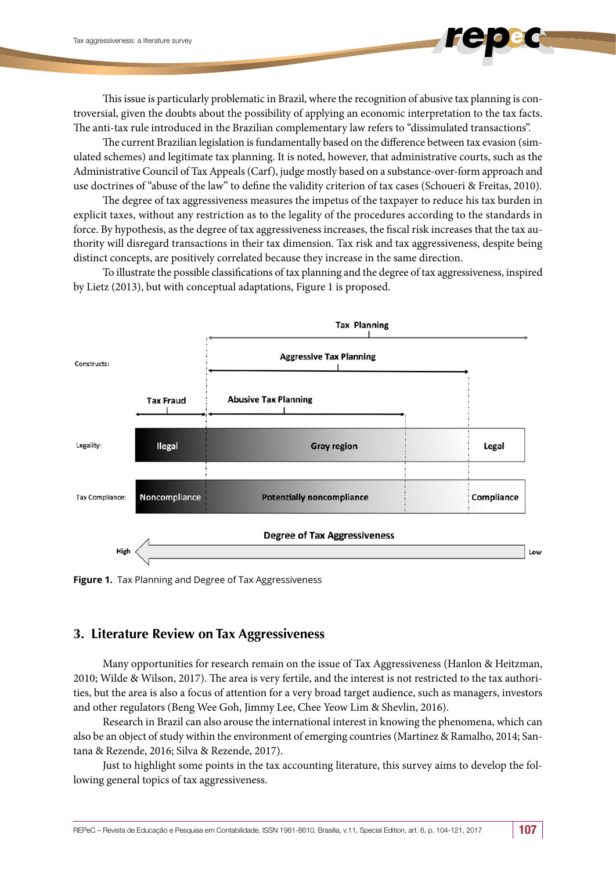This issue is particularly problematic in Brazil, where the recognition of abusive tax planning is controversial, given the doubts about the possibility of applying an economic interpretation to the tax facts. The anti-tax rule introduced in the Brazilian complementary law refers to "dissimulated transactions".

The current Brazilian legislation is fundamentally based on the difference between tax evasion (simulated schemes) and legitimate tax planning. It is noted, however, that administrative courts, such as the Administrative Council of Tax Appeals (Carf), judge mostly based on a substance-over-form approach and use doctrines of "abuse of the law" to define the validity criterion of tax cases (Schoueri & Freitas, 2010).

The degree of tax aggressiveness measures the impetus of the taxpayer to reduce his tax burden in explicit taxes, without any restriction as to the legality of the procedures according to the standards in force. By hypothesis, as the degree of tax aggressiveness increases, the fiscal risk increases that the tax authority will disregard transactions in their tax dimension. Tax risk and tax aggressiveness, despite being distinct concepts, are positively correlated because they increase in the same direction.

To illustrate the possible classifications of tax planning and the degree of tax aggressiveness, inspired by Lietz (2013), but with conceptual adaptations, Figure 1 is proposed.



**Figure 1.** Tax Planning and Degree of Tax Aggressiveness

## **3. Literature Review on Tax Aggressiveness**

Many opportunities for research remain on the issue of Tax Aggressiveness (Hanlon & Heitzman, 2010; Wilde & Wilson, 2017). The area is very fertile, and the interest is not restricted to the tax authorities, but the area is also a focus of attention for a very broad target audience, such as managers, investors and other regulators (Beng Wee Goh, Jimmy Lee, Chee Yeow Lim & Shevlin, 2016).

Research in Brazil can also arouse the international interest in knowing the phenomena, which can also be an object of study within the environment of emerging countries (Martinez & Ramalho, 2014; Santana & Rezende, 2016; Silva & Rezende, 2017).

Just to highlight some points in the tax accounting literature, this survey aims to develop the following general topics of tax aggressiveness.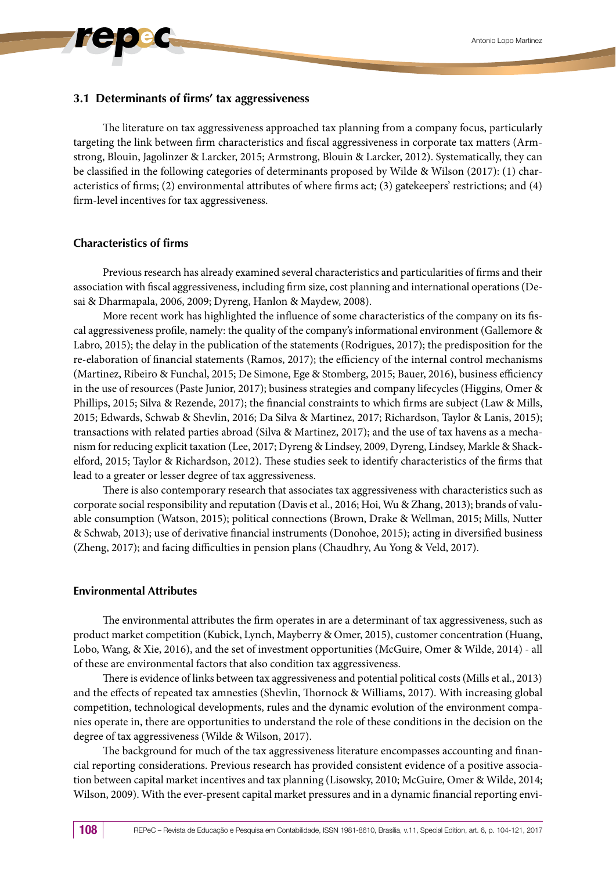#### **3.1 Determinants of firms' tax aggressiveness**

The literature on tax aggressiveness approached tax planning from a company focus, particularly targeting the link between firm characteristics and fiscal aggressiveness in corporate tax matters (Armstrong, Blouin, Jagolinzer & Larcker, 2015; Armstrong, Blouin & Larcker, 2012). Systematically, they can be classified in the following categories of determinants proposed by Wilde & Wilson (2017): (1) characteristics of firms; (2) environmental attributes of where firms act; (3) gatekeepers' restrictions; and (4) firm-level incentives for tax aggressiveness.

#### **Characteristics of firms**

Previous research has already examined several characteristics and particularities of firms and their association with fiscal aggressiveness, including firm size, cost planning and international operations (Desai & Dharmapala, 2006, 2009; Dyreng, Hanlon & Maydew, 2008).

More recent work has highlighted the influence of some characteristics of the company on its fiscal aggressiveness profile, namely: the quality of the company's informational environment (Gallemore & Labro, 2015); the delay in the publication of the statements (Rodrigues, 2017); the predisposition for the re-elaboration of financial statements (Ramos, 2017); the efficiency of the internal control mechanisms (Martinez, Ribeiro & Funchal, 2015; De Simone, Ege & Stomberg, 2015; Bauer, 2016), business efficiency in the use of resources (Paste Junior, 2017); business strategies and company lifecycles (Higgins, Omer & Phillips, 2015; Silva & Rezende, 2017); the financial constraints to which firms are subject (Law & Mills, 2015; Edwards, Schwab & Shevlin, 2016; Da Silva & Martinez, 2017; Richardson, Taylor & Lanis, 2015); transactions with related parties abroad (Silva & Martinez, 2017); and the use of tax havens as a mechanism for reducing explicit taxation (Lee, 2017; Dyreng & Lindsey, 2009, Dyreng, Lindsey, Markle & Shackelford, 2015; Taylor & Richardson, 2012). These studies seek to identify characteristics of the firms that lead to a greater or lesser degree of tax aggressiveness.

There is also contemporary research that associates tax aggressiveness with characteristics such as corporate social responsibility and reputation (Davis et al., 2016; Hoi, Wu & Zhang, 2013); brands of valuable consumption (Watson, 2015); political connections (Brown, Drake & Wellman, 2015; Mills, Nutter & Schwab, 2013); use of derivative financial instruments (Donohoe, 2015); acting in diversified business (Zheng, 2017); and facing difficulties in pension plans (Chaudhry, Au Yong & Veld, 2017).

#### **Environmental Attributes**

The environmental attributes the firm operates in are a determinant of tax aggressiveness, such as product market competition (Kubick, Lynch, Mayberry & Omer, 2015), customer concentration (Huang, Lobo, Wang, & Xie, 2016), and the set of investment opportunities (McGuire, Omer & Wilde, 2014) - all of these are environmental factors that also condition tax aggressiveness.

There is evidence of links between tax aggressiveness and potential political costs (Mills et al., 2013) and the effects of repeated tax amnesties (Shevlin, Thornock & Williams, 2017). With increasing global competition, technological developments, rules and the dynamic evolution of the environment companies operate in, there are opportunities to understand the role of these conditions in the decision on the degree of tax aggressiveness (Wilde & Wilson, 2017).

The background for much of the tax aggressiveness literature encompasses accounting and financial reporting considerations. Previous research has provided consistent evidence of a positive association between capital market incentives and tax planning (Lisowsky, 2010; McGuire, Omer & Wilde, 2014; Wilson, 2009). With the ever-present capital market pressures and in a dynamic financial reporting envi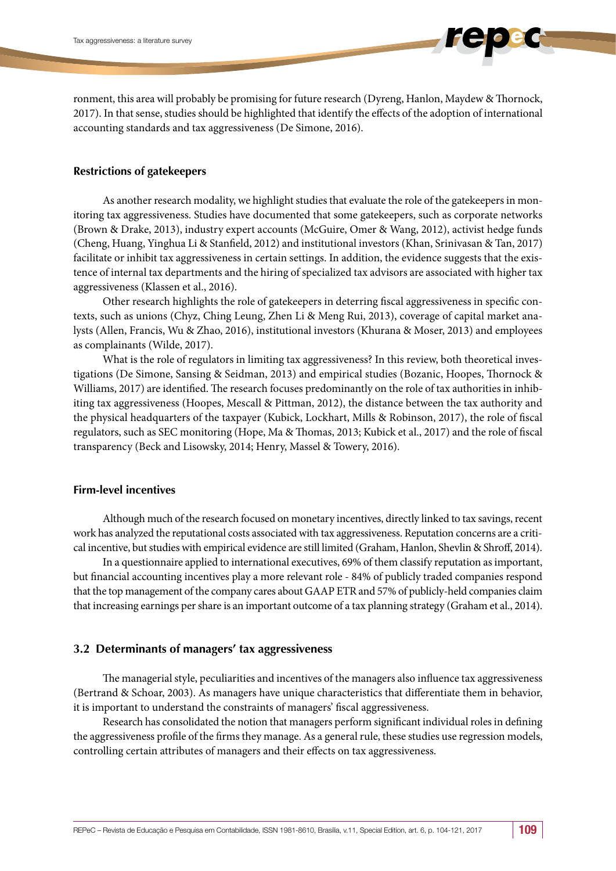ronment, this area will probably be promising for future research (Dyreng, Hanlon, Maydew & Thornock, 2017). In that sense, studies should be highlighted that identify the effects of the adoption of international accounting standards and tax aggressiveness (De Simone, 2016).

## **Restrictions of gatekeepers**

As another research modality, we highlight studies that evaluate the role of the gatekeepers in monitoring tax aggressiveness. Studies have documented that some gatekeepers, such as corporate networks (Brown & Drake, 2013), industry expert accounts (McGuire, Omer & Wang, 2012), activist hedge funds (Cheng, Huang, Yinghua Li & Stanfield, 2012) and institutional investors (Khan, Srinivasan & Tan, 2017) facilitate or inhibit tax aggressiveness in certain settings. In addition, the evidence suggests that the existence of internal tax departments and the hiring of specialized tax advisors are associated with higher tax aggressiveness (Klassen et al., 2016).

Other research highlights the role of gatekeepers in deterring fiscal aggressiveness in specific contexts, such as unions (Chyz, Ching Leung, Zhen Li & Meng Rui, 2013), coverage of capital market analysts (Allen, Francis, Wu & Zhao, 2016), institutional investors (Khurana & Moser, 2013) and employees as complainants (Wilde, 2017).

What is the role of regulators in limiting tax aggressiveness? In this review, both theoretical investigations (De Simone, Sansing & Seidman, 2013) and empirical studies (Bozanic, Hoopes, Thornock & Williams, 2017) are identified. The research focuses predominantly on the role of tax authorities in inhibiting tax aggressiveness (Hoopes, Mescall & Pittman, 2012), the distance between the tax authority and the physical headquarters of the taxpayer (Kubick, Lockhart, Mills & Robinson, 2017), the role of fiscal regulators, such as SEC monitoring (Hope, Ma & Thomas, 2013; Kubick et al., 2017) and the role of fiscal transparency (Beck and Lisowsky, 2014; Henry, Massel & Towery, 2016).

## **Firm-level incentives**

Although much of the research focused on monetary incentives, directly linked to tax savings, recent work has analyzed the reputational costs associated with tax aggressiveness. Reputation concerns are a critical incentive, but studies with empirical evidence are still limited (Graham, Hanlon, Shevlin & Shroff, 2014).

In a questionnaire applied to international executives, 69% of them classify reputation as important, but financial accounting incentives play a more relevant role - 84% of publicly traded companies respond that the top management of the company cares about GAAP ETR and 57% of publicly-held companies claim that increasing earnings per share is an important outcome of a tax planning strategy (Graham et al., 2014).

## **3.2 Determinants of managers' tax aggressiveness**

The managerial style, peculiarities and incentives of the managers also influence tax aggressiveness (Bertrand & Schoar, 2003). As managers have unique characteristics that differentiate them in behavior, it is important to understand the constraints of managers' fiscal aggressiveness.

Research has consolidated the notion that managers perform significant individual roles in defining the aggressiveness profile of the firms they manage. As a general rule, these studies use regression models, controlling certain attributes of managers and their effects on tax aggressiveness.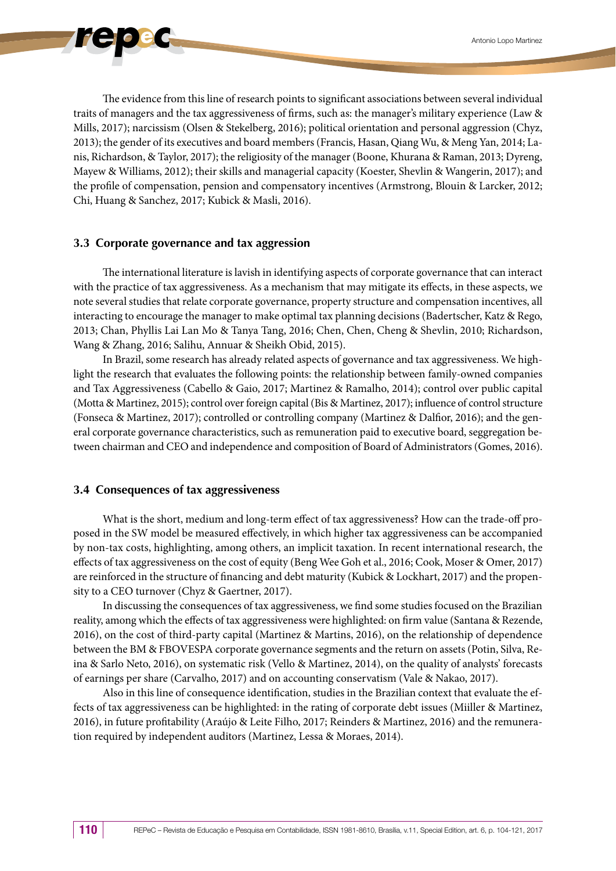

The evidence from this line of research points to significant associations between several individual traits of managers and the tax aggressiveness of firms, such as: the manager's military experience (Law & Mills, 2017); narcissism (Olsen & Stekelberg, 2016); political orientation and personal aggression (Chyz, 2013); the gender of its executives and board members (Francis, Hasan, Qiang Wu, & Meng Yan, 2014; Lanis, Richardson, & Taylor, 2017); the religiosity of the manager (Boone, Khurana & Raman, 2013; Dyreng, Mayew & Williams, 2012); their skills and managerial capacity (Koester, Shevlin & Wangerin, 2017); and the profile of compensation, pension and compensatory incentives (Armstrong, Blouin & Larcker, 2012; Chi, Huang & Sanchez, 2017; Kubick & Masli, 2016).

## **3.3 Corporate governance and tax aggression**

The international literature is lavish in identifying aspects of corporate governance that can interact with the practice of tax aggressiveness. As a mechanism that may mitigate its effects, in these aspects, we note several studies that relate corporate governance, property structure and compensation incentives, all interacting to encourage the manager to make optimal tax planning decisions (Badertscher, Katz & Rego, 2013; Chan, Phyllis Lai Lan Mo & Tanya Tang, 2016; Chen, Chen, Cheng & Shevlin, 2010; Richardson, Wang & Zhang, 2016; Salihu, Annuar & Sheikh Obid, 2015).

In Brazil, some research has already related aspects of governance and tax aggressiveness. We highlight the research that evaluates the following points: the relationship between family-owned companies and Tax Aggressiveness (Cabello & Gaio, 2017; Martinez & Ramalho, 2014); control over public capital (Motta & Martinez, 2015); control over foreign capital (Bis & Martinez, 2017); influence of control structure (Fonseca & Martinez, 2017); controlled or controlling company (Martinez & Dalfior, 2016); and the general corporate governance characteristics, such as remuneration paid to executive board, seggregation between chairman and CEO and independence and composition of Board of Administrators (Gomes, 2016).

## **3.4 Consequences of tax aggressiveness**

What is the short, medium and long-term effect of tax aggressiveness? How can the trade-off proposed in the SW model be measured effectively, in which higher tax aggressiveness can be accompanied by non-tax costs, highlighting, among others, an implicit taxation. In recent international research, the effects of tax aggressiveness on the cost of equity (Beng Wee Goh et al., 2016; Cook, Moser & Omer, 2017) are reinforced in the structure of financing and debt maturity (Kubick & Lockhart, 2017) and the propensity to a CEO turnover (Chyz & Gaertner, 2017).

In discussing the consequences of tax aggressiveness, we find some studies focused on the Brazilian reality, among which the effects of tax aggressiveness were highlighted: on firm value (Santana & Rezende, 2016), on the cost of third-party capital (Martinez & Martins, 2016), on the relationship of dependence between the BM & FBOVESPA corporate governance segments and the return on assets (Potin, Silva, Reina & Sarlo Neto, 2016), on systematic risk (Vello & Martinez, 2014), on the quality of analysts' forecasts of earnings per share (Carvalho, 2017) and on accounting conservatism (Vale & Nakao, 2017).

Also in this line of consequence identification, studies in the Brazilian context that evaluate the effects of tax aggressiveness can be highlighted: in the rating of corporate debt issues (Miiller & Martinez, 2016), in future profitability (Araújo & Leite Filho, 2017; Reinders & Martinez, 2016) and the remuneration required by independent auditors (Martinez, Lessa & Moraes, 2014).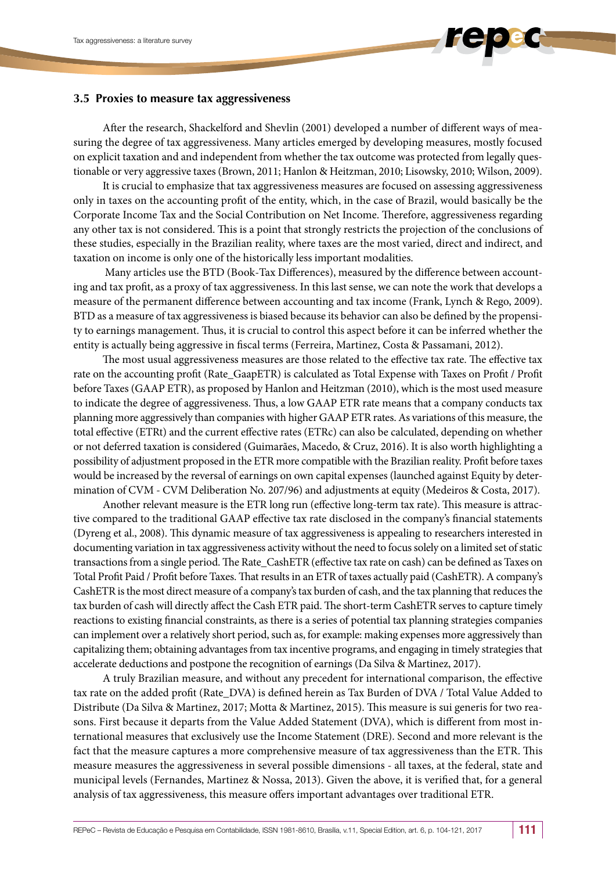## **3.5 Proxies to measure tax aggressiveness**

After the research, Shackelford and Shevlin (2001) developed a number of different ways of measuring the degree of tax aggressiveness. Many articles emerged by developing measures, mostly focused on explicit taxation and and independent from whether the tax outcome was protected from legally questionable or very aggressive taxes (Brown, 2011; Hanlon & Heitzman, 2010; Lisowsky, 2010; Wilson, 2009).

It is crucial to emphasize that tax aggressiveness measures are focused on assessing aggressiveness only in taxes on the accounting profit of the entity, which, in the case of Brazil, would basically be the Corporate Income Tax and the Social Contribution on Net Income. Therefore, aggressiveness regarding any other tax is not considered. This is a point that strongly restricts the projection of the conclusions of these studies, especially in the Brazilian reality, where taxes are the most varied, direct and indirect, and taxation on income is only one of the historically less important modalities.

 Many articles use the BTD (Book-Tax Differences), measured by the difference between accounting and tax profit, as a proxy of tax aggressiveness. In this last sense, we can note the work that develops a measure of the permanent difference between accounting and tax income (Frank, Lynch & Rego, 2009). BTD as a measure of tax aggressiveness is biased because its behavior can also be defined by the propensity to earnings management. Thus, it is crucial to control this aspect before it can be inferred whether the entity is actually being aggressive in fiscal terms (Ferreira, Martinez, Costa & Passamani, 2012).

The most usual aggressiveness measures are those related to the effective tax rate. The effective tax rate on the accounting profit (Rate\_GaapETR) is calculated as Total Expense with Taxes on Profit / Profit before Taxes (GAAP ETR), as proposed by Hanlon and Heitzman (2010), which is the most used measure to indicate the degree of aggressiveness. Thus, a low GAAP ETR rate means that a company conducts tax planning more aggressively than companies with higher GAAP ETR rates. As variations of this measure, the total effective (ETRt) and the current effective rates (ETRc) can also be calculated, depending on whether or not deferred taxation is considered (Guimarães, Macedo, & Cruz, 2016). It is also worth highlighting a possibility of adjustment proposed in the ETR more compatible with the Brazilian reality. Profit before taxes would be increased by the reversal of earnings on own capital expenses (launched against Equity by determination of CVM - CVM Deliberation No. 207/96) and adjustments at equity (Medeiros & Costa, 2017).

Another relevant measure is the ETR long run (effective long-term tax rate). This measure is attractive compared to the traditional GAAP effective tax rate disclosed in the company's financial statements (Dyreng et al., 2008). This dynamic measure of tax aggressiveness is appealing to researchers interested in documenting variation in tax aggressiveness activity without the need to focus solely on a limited set of static transactions from a single period. The Rate\_CashETR (effective tax rate on cash) can be defined as Taxes on Total Profit Paid / Profit before Taxes. That results in an ETR of taxes actually paid (CashETR). A company's CashETR is the most direct measure of a company's tax burden of cash, and the tax planning that reduces the tax burden of cash will directly affect the Cash ETR paid. The short-term CashETR serves to capture timely reactions to existing financial constraints, as there is a series of potential tax planning strategies companies can implement over a relatively short period, such as, for example: making expenses more aggressively than capitalizing them; obtaining advantages from tax incentive programs, and engaging in timely strategies that accelerate deductions and postpone the recognition of earnings (Da Silva & Martinez, 2017).

A truly Brazilian measure, and without any precedent for international comparison, the effective tax rate on the added profit (Rate\_DVA) is defined herein as Tax Burden of DVA / Total Value Added to Distribute (Da Silva & Martinez, 2017; Motta & Martinez, 2015). This measure is sui generis for two reasons. First because it departs from the Value Added Statement (DVA), which is different from most international measures that exclusively use the Income Statement (DRE). Second and more relevant is the fact that the measure captures a more comprehensive measure of tax aggressiveness than the ETR. This measure measures the aggressiveness in several possible dimensions - all taxes, at the federal, state and municipal levels (Fernandes, Martinez & Nossa, 2013). Given the above, it is verified that, for a general analysis of tax aggressiveness, this measure offers important advantages over traditional ETR.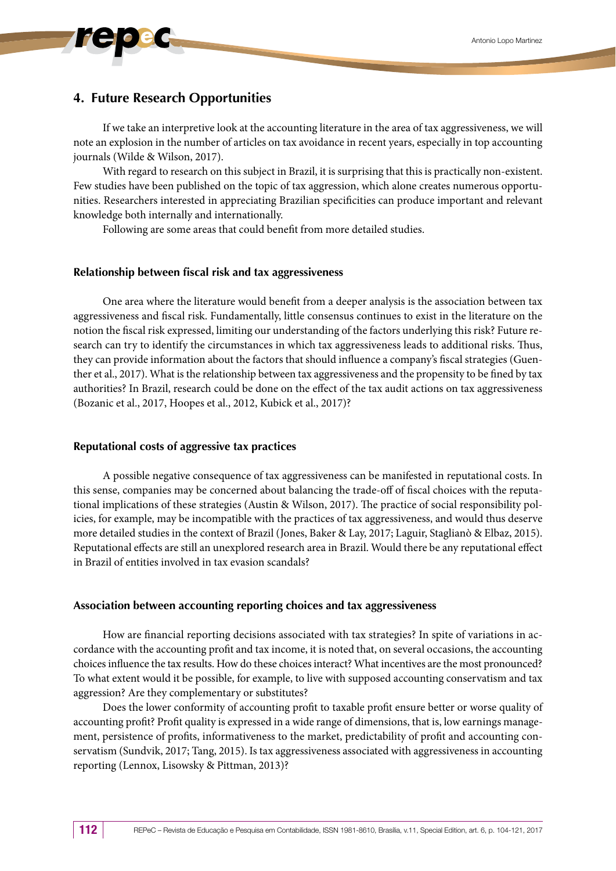## **4. Future Research Opportunities**

If we take an interpretive look at the accounting literature in the area of tax aggressiveness, we will note an explosion in the number of articles on tax avoidance in recent years, especially in top accounting journals (Wilde & Wilson, 2017).

With regard to research on this subject in Brazil, it is surprising that this is practically non-existent. Few studies have been published on the topic of tax aggression, which alone creates numerous opportunities. Researchers interested in appreciating Brazilian specificities can produce important and relevant knowledge both internally and internationally.

Following are some areas that could benefit from more detailed studies.

#### **Relationship between fiscal risk and tax aggressiveness**

One area where the literature would benefit from a deeper analysis is the association between tax aggressiveness and fiscal risk. Fundamentally, little consensus continues to exist in the literature on the notion the fiscal risk expressed, limiting our understanding of the factors underlying this risk? Future research can try to identify the circumstances in which tax aggressiveness leads to additional risks. Thus, they can provide information about the factors that should influence a company's fiscal strategies (Guenther et al., 2017). What is the relationship between tax aggressiveness and the propensity to be fined by tax authorities? In Brazil, research could be done on the effect of the tax audit actions on tax aggressiveness (Bozanic et al., 2017, Hoopes et al., 2012, Kubick et al., 2017)?

#### **Reputational costs of aggressive tax practices**

A possible negative consequence of tax aggressiveness can be manifested in reputational costs. In this sense, companies may be concerned about balancing the trade-off of fiscal choices with the reputational implications of these strategies (Austin & Wilson, 2017). The practice of social responsibility policies, for example, may be incompatible with the practices of tax aggressiveness, and would thus deserve more detailed studies in the context of Brazil (Jones, Baker & Lay, 2017; Laguir, Staglianò & Elbaz, 2015). Reputational effects are still an unexplored research area in Brazil. Would there be any reputational effect in Brazil of entities involved in tax evasion scandals?

#### **Association between accounting reporting choices and tax aggressiveness**

How are financial reporting decisions associated with tax strategies? In spite of variations in accordance with the accounting profit and tax income, it is noted that, on several occasions, the accounting choices influence the tax results. How do these choices interact? What incentives are the most pronounced? To what extent would it be possible, for example, to live with supposed accounting conservatism and tax aggression? Are they complementary or substitutes?

Does the lower conformity of accounting profit to taxable profit ensure better or worse quality of accounting profit? Profit quality is expressed in a wide range of dimensions, that is, low earnings management, persistence of profits, informativeness to the market, predictability of profit and accounting conservatism (Sundvik, 2017; Tang, 2015). Is tax aggressiveness associated with aggressiveness in accounting reporting (Lennox, Lisowsky & Pittman, 2013)?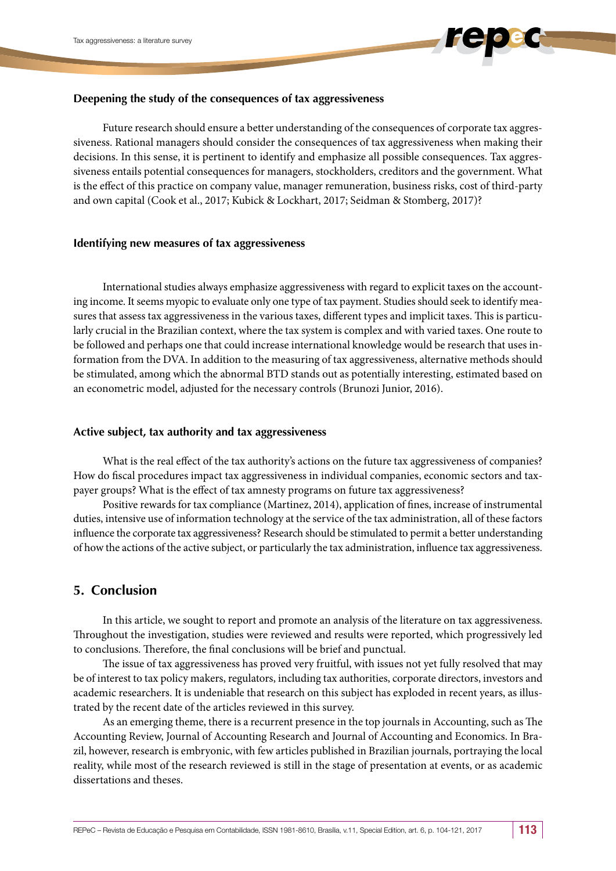## **Deepening the study of the consequences of tax aggressiveness**

Future research should ensure a better understanding of the consequences of corporate tax aggressiveness. Rational managers should consider the consequences of tax aggressiveness when making their decisions. In this sense, it is pertinent to identify and emphasize all possible consequences. Tax aggressiveness entails potential consequences for managers, stockholders, creditors and the government. What is the effect of this practice on company value, manager remuneration, business risks, cost of third-party and own capital (Cook et al., 2017; Kubick & Lockhart, 2017; Seidman & Stomberg, 2017)?

## **Identifying new measures of tax aggressiveness**

International studies always emphasize aggressiveness with regard to explicit taxes on the accounting income. It seems myopic to evaluate only one type of tax payment. Studies should seek to identify measures that assess tax aggressiveness in the various taxes, different types and implicit taxes. This is particularly crucial in the Brazilian context, where the tax system is complex and with varied taxes. One route to be followed and perhaps one that could increase international knowledge would be research that uses information from the DVA. In addition to the measuring of tax aggressiveness, alternative methods should be stimulated, among which the abnormal BTD stands out as potentially interesting, estimated based on an econometric model, adjusted for the necessary controls (Brunozi Junior, 2016).

## **Active subject, tax authority and tax aggressiveness**

What is the real effect of the tax authority's actions on the future tax aggressiveness of companies? How do fiscal procedures impact tax aggressiveness in individual companies, economic sectors and taxpayer groups? What is the effect of tax amnesty programs on future tax aggressiveness?

Positive rewards for tax compliance (Martinez, 2014), application of fines, increase of instrumental duties, intensive use of information technology at the service of the tax administration, all of these factors influence the corporate tax aggressiveness? Research should be stimulated to permit a better understanding of how the actions of the active subject, or particularly the tax administration, influence tax aggressiveness.

## **5. Conclusion**

In this article, we sought to report and promote an analysis of the literature on tax aggressiveness. Throughout the investigation, studies were reviewed and results were reported, which progressively led to conclusions. Therefore, the final conclusions will be brief and punctual.

The issue of tax aggressiveness has proved very fruitful, with issues not yet fully resolved that may be of interest to tax policy makers, regulators, including tax authorities, corporate directors, investors and academic researchers. It is undeniable that research on this subject has exploded in recent years, as illustrated by the recent date of the articles reviewed in this survey.

As an emerging theme, there is a recurrent presence in the top journals in Accounting, such as The Accounting Review, Journal of Accounting Research and Journal of Accounting and Economics. In Brazil, however, research is embryonic, with few articles published in Brazilian journals, portraying the local reality, while most of the research reviewed is still in the stage of presentation at events, or as academic dissertations and theses.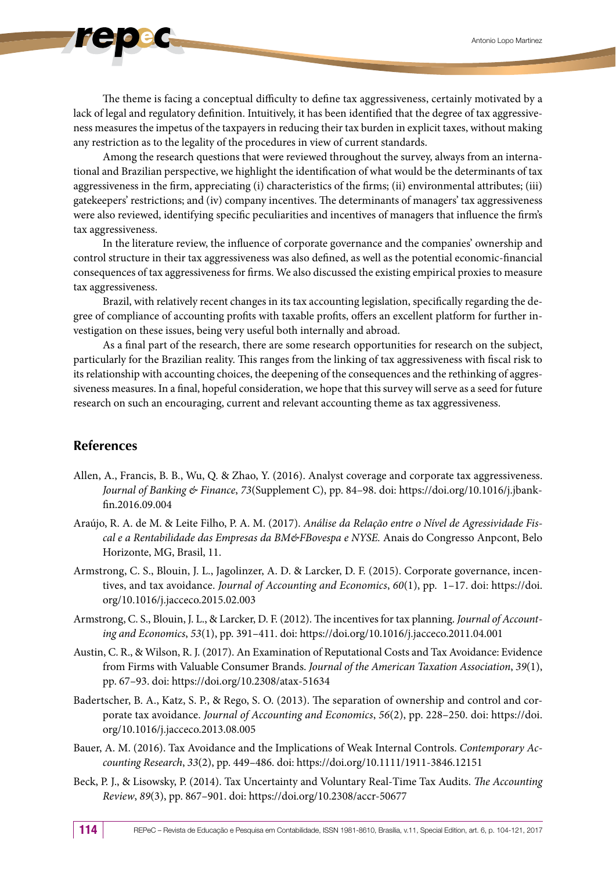The theme is facing a conceptual difficulty to define tax aggressiveness, certainly motivated by a lack of legal and regulatory definition. Intuitively, it has been identified that the degree of tax aggressiveness measures the impetus of the taxpayers in reducing their tax burden in explicit taxes, without making any restriction as to the legality of the procedures in view of current standards.

Among the research questions that were reviewed throughout the survey, always from an international and Brazilian perspective, we highlight the identification of what would be the determinants of tax aggressiveness in the firm, appreciating (i) characteristics of the firms; (ii) environmental attributes; (iii) gatekeepers' restrictions; and (iv) company incentives. The determinants of managers' tax aggressiveness were also reviewed, identifying specific peculiarities and incentives of managers that influence the firm's tax aggressiveness.

In the literature review, the influence of corporate governance and the companies' ownership and control structure in their tax aggressiveness was also defined, as well as the potential economic-financial consequences of tax aggressiveness for firms. We also discussed the existing empirical proxies to measure tax aggressiveness.

Brazil, with relatively recent changes in its tax accounting legislation, specifically regarding the degree of compliance of accounting profits with taxable profits, offers an excellent platform for further investigation on these issues, being very useful both internally and abroad.

As a final part of the research, there are some research opportunities for research on the subject, particularly for the Brazilian reality. This ranges from the linking of tax aggressiveness with fiscal risk to its relationship with accounting choices, the deepening of the consequences and the rethinking of aggressiveness measures. In a final, hopeful consideration, we hope that this survey will serve as a seed for future research on such an encouraging, current and relevant accounting theme as tax aggressiveness.

## **References**

- Allen, A., Francis, B. B., Wu, Q. & Zhao, Y. (2016). Analyst coverage and corporate tax aggressiveness. *Journal of Banking & Finance*, *73*(Supplement C), pp. 84–98. doi: https://doi.org/10.1016/j.jbankfin.2016.09.004
- Araújo, R. A. de M. & Leite Filho, P. A. M. (2017). *Análise da Relação entre o Nível de Agressividade Fiscal e a Rentabilidade das Empresas da BM&FBovespa e NYSE.* Anais do Congresso Anpcont, Belo Horizonte, MG, Brasil, 11.
- Armstrong, C. S., Blouin, J. L., Jagolinzer, A. D. & Larcker, D. F. (2015). Corporate governance, incentives, and tax avoidance. *Journal of Accounting and Economics*, *60*(1), pp. 1–17. doi: https://doi. org/10.1016/j.jacceco.2015.02.003
- Armstrong, C. S., Blouin, J. L., & Larcker, D. F. (2012). The incentives for tax planning. *Journal of Accounting and Economics*, *53*(1), pp. 391–411. doi: https://doi.org/10.1016/j.jacceco.2011.04.001
- Austin, C. R., & Wilson, R. J. (2017). An Examination of Reputational Costs and Tax Avoidance: Evidence from Firms with Valuable Consumer Brands. *Journal of the American Taxation Association*, *39*(1), pp. 67–93. doi: https://doi.org/10.2308/atax-51634
- Badertscher, B. A., Katz, S. P., & Rego, S. O. (2013). The separation of ownership and control and corporate tax avoidance. *Journal of Accounting and Economics*, *56*(2), pp. 228–250. doi: https://doi. org/10.1016/j.jacceco.2013.08.005
- Bauer, A. M. (2016). Tax Avoidance and the Implications of Weak Internal Controls. *Contemporary Accounting Research*, *33*(2), pp. 449–486. doi: https://doi.org/10.1111/1911-3846.12151
- Beck, P. J., & Lisowsky, P. (2014). Tax Uncertainty and Voluntary Real-Time Tax Audits. *The Accounting Review*, *89*(3), pp. 867–901. doi: https://doi.org/10.2308/accr-50677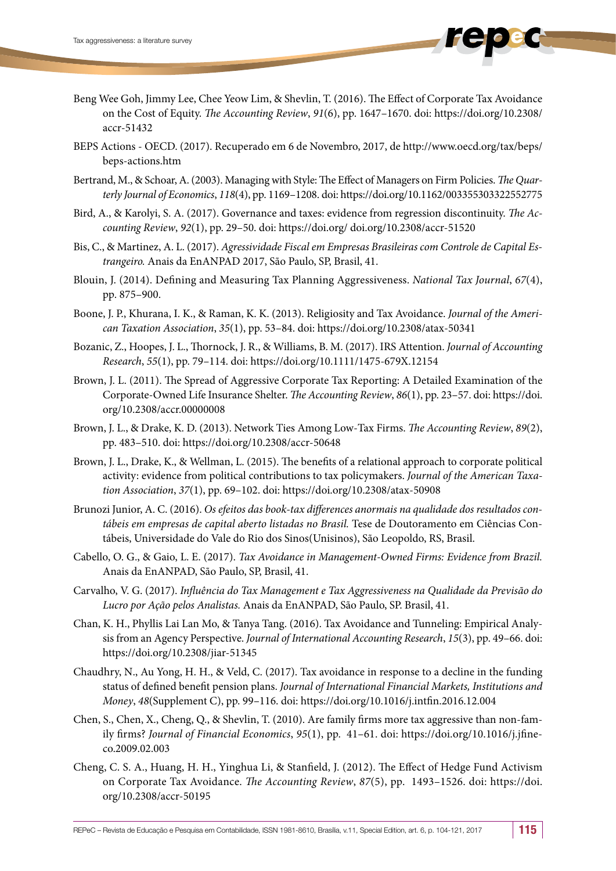- Beng Wee Goh, Jimmy Lee, Chee Yeow Lim, & Shevlin, T. (2016). The Effect of Corporate Tax Avoidance on the Cost of Equity. *The Accounting Review*, *91*(6), pp. 1647–1670. doi: https://doi.org/10.2308/ accr-51432
- BEPS Actions OECD. (2017). Recuperado em 6 de Novembro, 2017, de http://www.oecd.org/tax/beps/ beps-actions.htm
- Bertrand, M., & Schoar, A. (2003). Managing with Style: The Effect of Managers on Firm Policies. *The Quarterly Journal of Economics*, *118*(4), pp. 1169–1208. doi: https://doi.org/10.1162/003355303322552775
- Bird, A., & Karolyi, S. A. (2017). Governance and taxes: evidence from regression discontinuity. *The Accounting Review*, *92*(1), pp. 29–50. doi: https://doi.org/ doi.org/10.2308/accr-51520
- Bis, C., & Martinez, A. L. (2017). *Agressividade Fiscal em Empresas Brasileiras com Controle de Capital Estrangeiro.* Anais da EnANPAD 2017, São Paulo, SP, Brasil, 41.
- Blouin, J. (2014). Defining and Measuring Tax Planning Aggressiveness. *National Tax Journal*, *67*(4), pp. 875–900.
- Boone, J. P., Khurana, I. K., & Raman, K. K. (2013). Religiosity and Tax Avoidance. *Journal of the American Taxation Association*, *35*(1), pp. 53–84. doi: https://doi.org/10.2308/atax-50341
- Bozanic, Z., Hoopes, J. L., Thornock, J. R., & Williams, B. M. (2017). IRS Attention. *Journal of Accounting Research*, *55*(1), pp. 79–114. doi: https://doi.org/10.1111/1475-679X.12154
- Brown, J. L. (2011). The Spread of Aggressive Corporate Tax Reporting: A Detailed Examination of the Corporate-Owned Life Insurance Shelter. *The Accounting Review*, *86*(1), pp. 23–57. doi: https://doi. org/10.2308/accr.00000008
- Brown, J. L., & Drake, K. D. (2013). Network Ties Among Low-Tax Firms. *The Accounting Review*, *89*(2), pp. 483–510. doi: https://doi.org/10.2308/accr-50648
- Brown, J. L., Drake, K., & Wellman, L. (2015). The benefits of a relational approach to corporate political activity: evidence from political contributions to tax policymakers. *Journal of the American Taxation Association*, *37*(1), pp. 69–102. doi: https://doi.org/10.2308/atax-50908
- Brunozi Junior, A. C. (2016). *Os efeitos das book-tax differences anormais na qualidade dos resultados contábeis em empresas de capital aberto listadas no Brasil.* Tese de Doutoramento em Ciências Contábeis, Universidade do Vale do Rio dos Sinos(Unisinos), São Leopoldo, RS, Brasil.
- Cabello, O. G., & Gaio, L. E. (2017). *Tax Avoidance in Management-Owned Firms: Evidence from Brazil.* Anais da EnANPAD, São Paulo, SP, Brasil, 41.
- Carvalho, V. G. (2017). *Influência do Tax Management e Tax Aggressiveness na Qualidade da Previsão do Lucro por Ação pelos Analistas.* Anais da EnANPAD, São Paulo, SP. Brasil, 41.
- Chan, K. H., Phyllis Lai Lan Mo, & Tanya Tang. (2016). Tax Avoidance and Tunneling: Empirical Analysis from an Agency Perspective. *Journal of International Accounting Research*, *15*(3), pp. 49–66. doi: https://doi.org/10.2308/jiar-51345
- Chaudhry, N., Au Yong, H. H., & Veld, C. (2017). Tax avoidance in response to a decline in the funding status of defined benefit pension plans. *Journal of International Financial Markets, Institutions and Money*, *48*(Supplement C), pp. 99–116. doi: https://doi.org/10.1016/j.intfin.2016.12.004
- Chen, S., Chen, X., Cheng, Q., & Shevlin, T. (2010). Are family firms more tax aggressive than non-family firms? *Journal of Financial Economics*, *95*(1), pp. 41–61. doi: https://doi.org/10.1016/j.jfineco.2009.02.003
- Cheng, C. S. A., Huang, H. H., Yinghua Li, & Stanfield, J. (2012). The Effect of Hedge Fund Activism on Corporate Tax Avoidance. *The Accounting Review*, *87*(5), pp. 1493–1526. doi: https://doi. org/10.2308/accr-50195

REPeC – Revista de Educação e Pesquisa em Contabilidade, ISSN 1981-8610, Brasília, v.11, Special Edition, art. 6, p. 104-121, 2017 15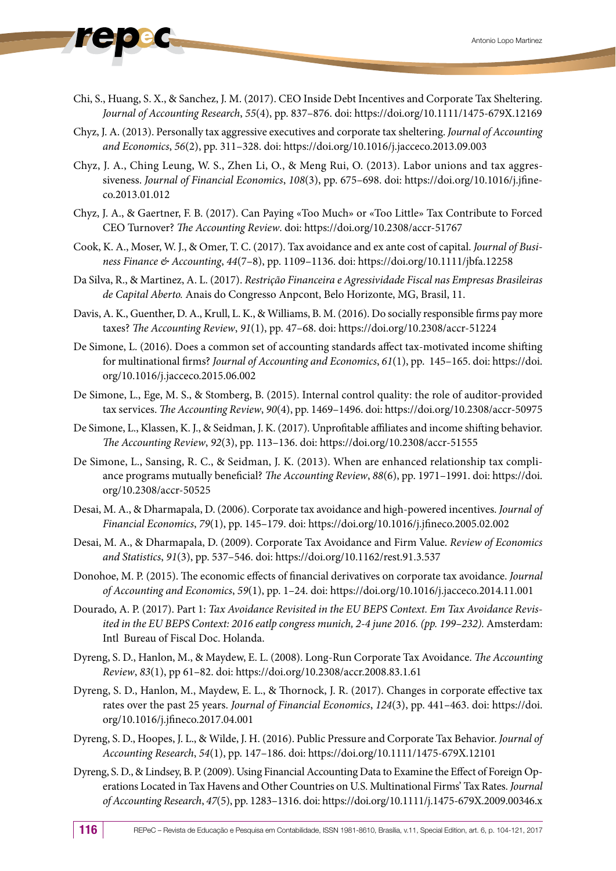- 
- Chi, S., Huang, S. X., & Sanchez, J. M. (2017). CEO Inside Debt Incentives and Corporate Tax Sheltering. *Journal of Accounting Research*, *55*(4), pp. 837–876. doi: https://doi.org/10.1111/1475-679X.12169
- Chyz, J. A. (2013). Personally tax aggressive executives and corporate tax sheltering. *Journal of Accounting and Economics*, *56*(2), pp. 311–328. doi: https://doi.org/10.1016/j.jacceco.2013.09.003
- Chyz, J. A., Ching Leung, W. S., Zhen Li, O., & Meng Rui, O. (2013). Labor unions and tax aggressiveness. *Journal of Financial Economics*, *108*(3), pp. 675–698. doi: https://doi.org/10.1016/j.jfineco.2013.01.012
- Chyz, J. A., & Gaertner, F. B. (2017). Can Paying «Too Much» or «Too Little» Tax Contribute to Forced CEO Turnover? *The Accounting Review*. doi: https://doi.org/10.2308/accr-51767
- Cook, K. A., Moser, W. J., & Omer, T. C. (2017). Tax avoidance and ex ante cost of capital. *Journal of Business Finance & Accounting*, *44*(7–8), pp. 1109–1136. doi: https://doi.org/10.1111/jbfa.12258
- Da Silva, R., & Martinez, A. L. (2017). *Restrição Financeira e Agressividade Fiscal nas Empresas Brasileiras de Capital Aberto.* Anais do Congresso Anpcont, Belo Horizonte, MG, Brasil, 11.
- Davis, A. K., Guenther, D. A., Krull, L. K., & Williams, B. M. (2016). Do socially responsible firms pay more taxes? *The Accounting Review*, *91*(1), pp. 47–68. doi: https://doi.org/10.2308/accr-51224
- De Simone, L. (2016). Does a common set of accounting standards affect tax-motivated income shifting for multinational firms? *Journal of Accounting and Economics*, *61*(1), pp. 145–165. doi: https://doi. org/10.1016/j.jacceco.2015.06.002
- De Simone, L., Ege, M. S., & Stomberg, B. (2015). Internal control quality: the role of auditor-provided tax services. *The Accounting Review*, *90*(4), pp. 1469–1496. doi: https://doi.org/10.2308/accr-50975
- De Simone, L., Klassen, K. J., & Seidman, J. K. (2017). Unprofitable affiliates and income shifting behavior. *The Accounting Review*, *92*(3), pp. 113–136. doi: https://doi.org/10.2308/accr-51555
- De Simone, L., Sansing, R. C., & Seidman, J. K. (2013). When are enhanced relationship tax compliance programs mutually beneficial? *The Accounting Review*, *88*(6), pp. 1971–1991. doi: https://doi. org/10.2308/accr-50525
- Desai, M. A., & Dharmapala, D. (2006). Corporate tax avoidance and high-powered incentives. *Journal of Financial Economics*, *79*(1), pp. 145–179. doi: https://doi.org/10.1016/j.jfineco.2005.02.002
- Desai, M. A., & Dharmapala, D. (2009). Corporate Tax Avoidance and Firm Value. *Review of Economics and Statistics*, *91*(3), pp. 537–546. doi: https://doi.org/10.1162/rest.91.3.537
- Donohoe, M. P. (2015). The economic effects of financial derivatives on corporate tax avoidance. *Journal of Accounting and Economics*, *59*(1), pp. 1–24. doi: https://doi.org/10.1016/j.jacceco.2014.11.001
- Dourado, A. P. (2017). Part 1: *Tax Avoidance Revisited in the EU BEPS Context. Em Tax Avoidance Revisited in the EU BEPS Context: 2016 eatlp congress munich, 2-4 june 2016. (pp. 199–232). Amsterdam:* Intl Bureau of Fiscal Doc. Holanda.
- Dyreng, S. D., Hanlon, M., & Maydew, E. L. (2008). Long-Run Corporate Tax Avoidance. *The Accounting Review*, *83*(1), pp 61–82. doi: https://doi.org/10.2308/accr.2008.83.1.61
- Dyreng, S. D., Hanlon, M., Maydew, E. L., & Thornock, J. R. (2017). Changes in corporate effective tax rates over the past 25 years. *Journal of Financial Economics*, *124*(3), pp. 441–463. doi: https://doi. org/10.1016/j.jfineco.2017.04.001
- Dyreng, S. D., Hoopes, J. L., & Wilde, J. H. (2016). Public Pressure and Corporate Tax Behavior. *Journal of Accounting Research*, *54*(1), pp. 147–186. doi: https://doi.org/10.1111/1475-679X.12101
- Dyreng, S. D., & Lindsey, B. P. (2009). Using Financial Accounting Data to Examine the Effect of Foreign Operations Located in Tax Havens and Other Countries on U.S. Multinational Firms' Tax Rates. *Journal of Accounting Research*, *47*(5), pp. 1283–1316. doi: https://doi.org/10.1111/j.1475-679X.2009.00346.x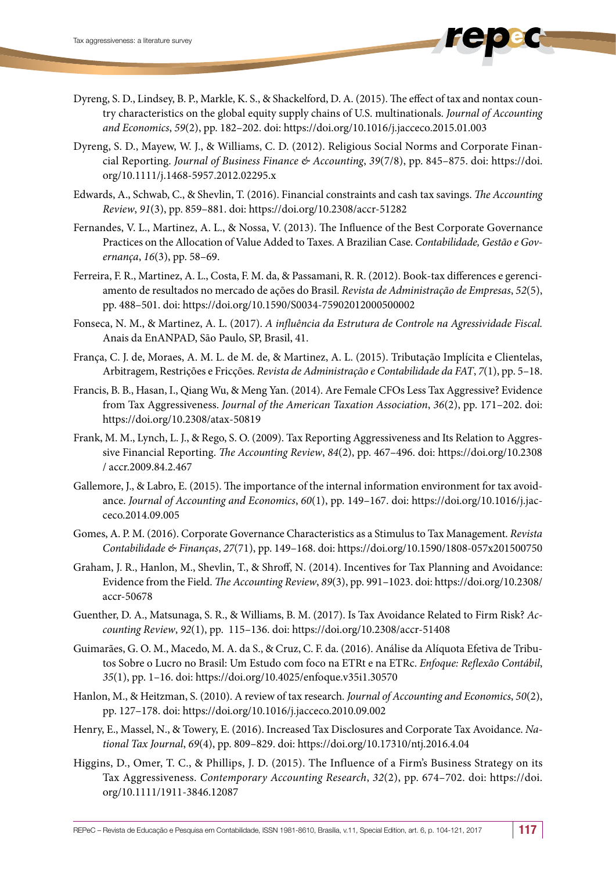- Dyreng, S. D., Lindsey, B. P., Markle, K. S., & Shackelford, D. A. (2015). The effect of tax and nontax country characteristics on the global equity supply chains of U.S. multinationals. *Journal of Accounting and Economics*, *59*(2), pp. 182–202. doi: https://doi.org/10.1016/j.jacceco.2015.01.003
- Dyreng, S. D., Mayew, W. J., & Williams, C. D. (2012). Religious Social Norms and Corporate Financial Reporting. *Journal of Business Finance & Accounting*, *39*(7/8), pp. 845–875. doi: https://doi. org/10.1111/j.1468-5957.2012.02295.x
- Edwards, A., Schwab, C., & Shevlin, T. (2016). Financial constraints and cash tax savings. *The Accounting Review*, *91*(3), pp. 859–881. doi: https://doi.org/10.2308/accr-51282
- Fernandes, V. L., Martinez, A. L., & Nossa, V. (2013). The Influence of the Best Corporate Governance Practices on the Allocation of Value Added to Taxes. A Brazilian Case. *Contabilidade, Gestão e Governança*, *16*(3), pp. 58–69.
- Ferreira, F. R., Martinez, A. L., Costa, F. M. da, & Passamani, R. R. (2012). Book-tax differences e gerenciamento de resultados no mercado de ações do Brasil. *Revista de Administração de Empresas*, *52*(5), pp. 488–501. doi: https://doi.org/10.1590/S0034-75902012000500002
- Fonseca, N. M., & Martinez, A. L. (2017). *A influência da Estrutura de Controle na Agressividade Fiscal.* Anais da EnANPAD, São Paulo, SP, Brasil, 41.
- França, C. J. de, Moraes, A. M. L. de M. de, & Martinez, A. L. (2015). Tributação Implícita e Clientelas, Arbitragem, Restrições e Fricções. *Revista de Administração e Contabilidade da FAT*, *7*(1), pp. 5–18.
- Francis, B. B., Hasan, I., Qiang Wu, & Meng Yan. (2014). Are Female CFOs Less Tax Aggressive? Evidence from Tax Aggressiveness. *Journal of the American Taxation Association*, *36*(2), pp. 171–202. doi: https://doi.org/10.2308/atax-50819
- Frank, M. M., Lynch, L. J., & Rego, S. O. (2009). Tax Reporting Aggressiveness and Its Relation to Aggressive Financial Reporting. *The Accounting Review*, *84*(2), pp. 467–496. doi: https://doi.org/10.2308 / accr.2009.84.2.467
- Gallemore, J., & Labro, E. (2015). The importance of the internal information environment for tax avoidance. *Journal of Accounting and Economics*, *60*(1), pp. 149–167. doi: https://doi.org/10.1016/j.jacceco.2014.09.005
- Gomes, A. P. M. (2016). Corporate Governance Characteristics as a Stimulus to Tax Management. *Revista Contabilidade & Finanças*, *27*(71), pp. 149–168. doi: https://doi.org/10.1590/1808-057x201500750
- Graham, J. R., Hanlon, M., Shevlin, T., & Shroff, N. (2014). Incentives for Tax Planning and Avoidance: Evidence from the Field. *The Accounting Review*, *89*(3), pp. 991–1023. doi: https://doi.org/10.2308/ accr-50678
- Guenther, D. A., Matsunaga, S. R., & Williams, B. M. (2017). Is Tax Avoidance Related to Firm Risk? *Accounting Review*, *92*(1), pp. 115–136. doi: https://doi.org/10.2308/accr-51408
- Guimarães, G. O. M., Macedo, M. A. da S., & Cruz, C. F. da. (2016). Análise da Alíquota Efetiva de Tributos Sobre o Lucro no Brasil: Um Estudo com foco na ETRt e na ETRc. *Enfoque: Reflexão Contábil*, *35*(1), pp. 1–16. doi: https://doi.org/10.4025/enfoque.v35i1.30570
- Hanlon, M., & Heitzman, S. (2010). A review of tax research. *Journal of Accounting and Economics*, *50*(2), pp. 127–178. doi: https://doi.org/10.1016/j.jacceco.2010.09.002
- Henry, E., Massel, N., & Towery, E. (2016). Increased Tax Disclosures and Corporate Tax Avoidance. *National Tax Journal*, *69*(4), pp. 809–829. doi: https://doi.org/10.17310/ntj.2016.4.04
- Higgins, D., Omer, T. C., & Phillips, J. D. (2015). The Influence of a Firm's Business Strategy on its Tax Aggressiveness. *Contemporary Accounting Research*, *32*(2), pp. 674–702. doi: https://doi. org/10.1111/1911-3846.12087

REPeC – Revista de Educação e Pesquisa em Contabilidade, ISSN 1981-8610, Brasília, v.11, Special Edition, art. 6, p. 104-121, 2017 117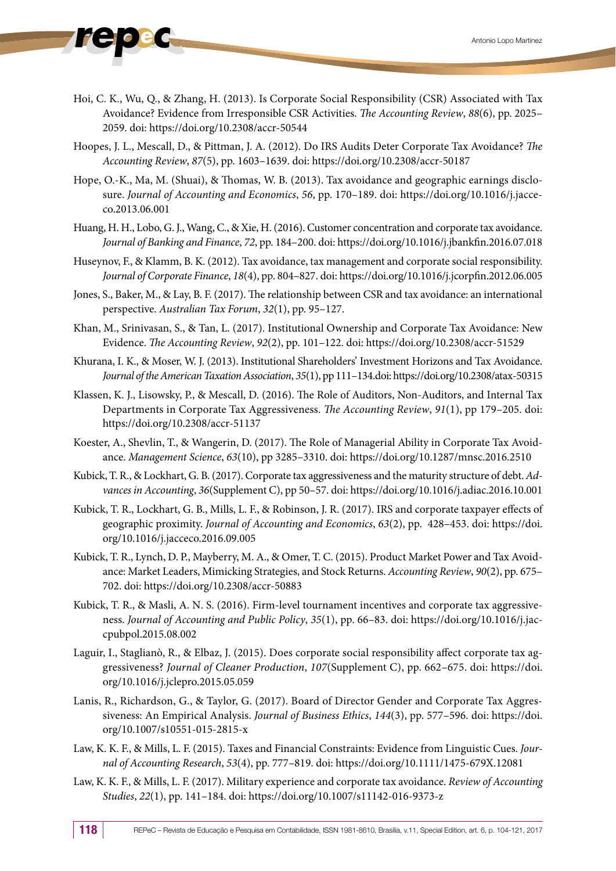- - Hoi, C. K., Wu, Q., & Zhang, H. (2013). Is Corporate Social Responsibility (CSR) Associated with Tax Avoidance? Evidence from Irresponsible CSR Activities. *The Accounting Review*, *88*(6), pp. 2025– 2059. doi: https://doi.org/10.2308/accr-50544
	- Hoopes, J. L., Mescall, D., & Pittman, J. A. (2012). Do IRS Audits Deter Corporate Tax Avoidance? *The Accounting Review*, *87*(5), pp. 1603–1639. doi: https://doi.org/10.2308/accr-50187
	- Hope, O.-K., Ma, M. (Shuai), & Thomas, W. B. (2013). Tax avoidance and geographic earnings disclosure. *Journal of Accounting and Economics*, *56*, pp. 170–189. doi: https://doi.org/10.1016/j.jacceco.2013.06.001
	- Huang, H. H., Lobo, G. J., Wang, C., & Xie, H. (2016). Customer concentration and corporate tax avoidance. *Journal of Banking and Finance*, *72*, pp. 184–200. doi: https://doi.org/10.1016/j.jbankfin.2016.07.018
	- Huseynov, F., & Klamm, B. K. (2012). Tax avoidance, tax management and corporate social responsibility. *Journal of Corporate Finance*, *18*(4), pp. 804–827. doi: https://doi.org/10.1016/j.jcorpfin.2012.06.005
	- Jones, S., Baker, M., & Lay, B. F. (2017). The relationship between CSR and tax avoidance: an international perspective. *Australian Tax Forum*, *32*(1), pp. 95–127.
	- Khan, M., Srinivasan, S., & Tan, L. (2017). Institutional Ownership and Corporate Tax Avoidance: New Evidence. *The Accounting Review*, *92*(2), pp. 101–122. doi: https://doi.org/10.2308/accr-51529
	- Khurana, I. K., & Moser, W. J. (2013). Institutional Shareholders' Investment Horizons and Tax Avoidance. *Journal of the American Taxation Association*, *35*(1), pp 111–134.doi: https://doi.org/10.2308/atax-50315
	- Klassen, K. J., Lisowsky, P., & Mescall, D. (2016). The Role of Auditors, Non-Auditors, and Internal Tax Departments in Corporate Tax Aggressiveness. *The Accounting Review*, *91*(1), pp 179–205. doi: https://doi.org/10.2308/accr-51137
	- Koester, A., Shevlin, T., & Wangerin, D. (2017). The Role of Managerial Ability in Corporate Tax Avoidance. *Management Science*, *63*(10), pp 3285–3310. doi: https://doi.org/10.1287/mnsc.2016.2510
	- Kubick, T. R., & Lockhart, G. B. (2017). Corporate tax aggressiveness and the maturity structure of debt. *Advances in Accounting*, *36*(Supplement C), pp 50–57. doi: https://doi.org/10.1016/j.adiac.2016.10.001
	- Kubick, T. R., Lockhart, G. B., Mills, L. F., & Robinson, J. R. (2017). IRS and corporate taxpayer effects of geographic proximity. *Journal of Accounting and Economics*, *63*(2), pp. 428–453. doi: https://doi. org/10.1016/j.jacceco.2016.09.005
	- Kubick, T. R., Lynch, D. P., Mayberry, M. A., & Omer, T. C. (2015). Product Market Power and Tax Avoidance: Market Leaders, Mimicking Strategies, and Stock Returns. *Accounting Review*, *90*(2), pp. 675– 702. doi: https://doi.org/10.2308/accr-50883
	- Kubick, T. R., & Masli, A. N. S. (2016). Firm-level tournament incentives and corporate tax aggressiveness. *Journal of Accounting and Public Policy*, *35*(1), pp. 66–83. doi: https://doi.org/10.1016/j.jaccpubpol.2015.08.002
	- Laguir, I., Staglianò, R., & Elbaz, J. (2015). Does corporate social responsibility affect corporate tax aggressiveness? *Journal of Cleaner Production*, *107*(Supplement C), pp. 662–675. doi: https://doi. org/10.1016/j.jclepro.2015.05.059
	- Lanis, R., Richardson, G., & Taylor, G. (2017). Board of Director Gender and Corporate Tax Aggressiveness: An Empirical Analysis. *Journal of Business Ethics*, *144*(3), pp. 577–596. doi: https://doi. org/10.1007/s10551-015-2815-x
	- Law, K. K. F., & Mills, L. F. (2015). Taxes and Financial Constraints: Evidence from Linguistic Cues. *Journal of Accounting Research*, *53*(4), pp. 777–819. doi: https://doi.org/10.1111/1475-679X.12081
	- Law, K. K. F., & Mills, L. F. (2017). Military experience and corporate tax avoidance. *Review of Accounting Studies*, *22*(1), pp. 141–184. doi: https://doi.org/10.1007/s11142-016-9373-z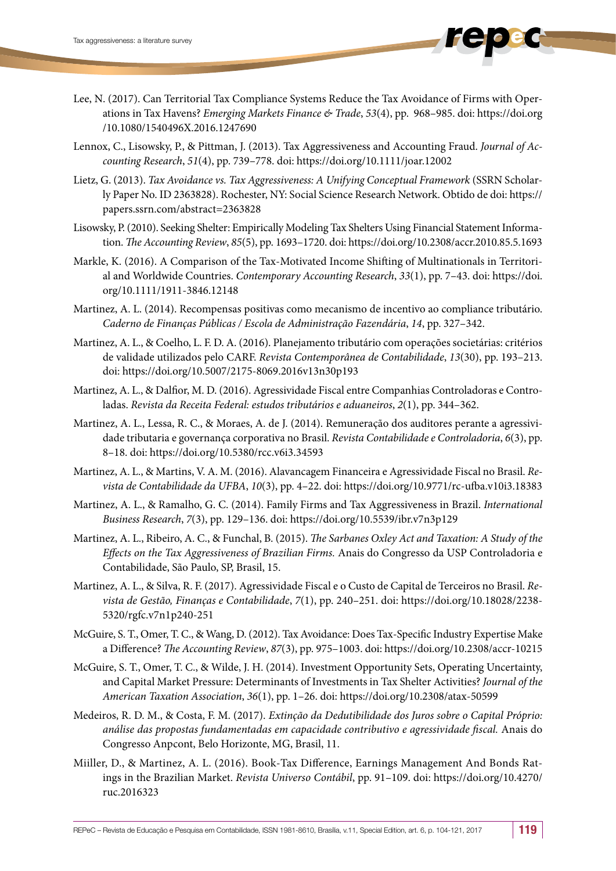- Lee, N. (2017). Can Territorial Tax Compliance Systems Reduce the Tax Avoidance of Firms with Operations in Tax Havens? *Emerging Markets Finance & Trade*, *53*(4), pp. 968–985. doi: https://doi.org /10.1080/1540496X.2016.1247690
- Lennox, C., Lisowsky, P., & Pittman, J. (2013). Tax Aggressiveness and Accounting Fraud. *Journal of Accounting Research*, *51*(4), pp. 739–778. doi: https://doi.org/10.1111/joar.12002
- Lietz, G. (2013). *Tax Avoidance vs. Tax Aggressiveness: A Unifying Conceptual Framework* (SSRN Scholarly Paper No. ID 2363828). Rochester, NY: Social Science Research Network. Obtido de doi: https:// papers.ssrn.com/abstract=2363828
- Lisowsky, P. (2010). Seeking Shelter: Empirically Modeling Tax Shelters Using Financial Statement Information. *The Accounting Review*, *85*(5), pp. 1693–1720. doi: https://doi.org/10.2308/accr.2010.85.5.1693
- Markle, K. (2016). A Comparison of the Tax-Motivated Income Shifting of Multinationals in Territorial and Worldwide Countries. *Contemporary Accounting Research*, *33*(1), pp. 7–43. doi: https://doi. org/10.1111/1911-3846.12148
- Martinez, A. L. (2014). Recompensas positivas como mecanismo de incentivo ao compliance tributário. *Caderno de Finanças Públicas / Escola de Administração Fazendária*, *14*, pp. 327–342.
- Martinez, A. L., & Coelho, L. F. D. A. (2016). Planejamento tributário com operações societárias: critérios de validade utilizados pelo CARF. *Revista Contemporânea de Contabilidade*, *13*(30), pp. 193–213. doi: https://doi.org/10.5007/2175-8069.2016v13n30p193
- Martinez, A. L., & Dalfior, M. D. (2016). Agressividade Fiscal entre Companhias Controladoras e Controladas. *Revista da Receita Federal: estudos tributários e aduaneiros*, *2*(1), pp. 344–362.
- Martinez, A. L., Lessa, R. C., & Moraes, A. de J. (2014). Remuneração dos auditores perante a agressividade tributaria e governança corporativa no Brasil. *Revista Contabilidade e Controladoria*, *6*(3), pp. 8–18. doi: https://doi.org/10.5380/rcc.v6i3.34593
- Martinez, A. L., & Martins, V. A. M. (2016). Alavancagem Financeira e Agressividade Fiscal no Brasil. *Revista de Contabilidade da UFBA*, *10*(3), pp. 4–22. doi: https://doi.org/10.9771/rc-ufba.v10i3.18383
- Martinez, A. L., & Ramalho, G. C. (2014). Family Firms and Tax Aggressiveness in Brazil. *International Business Research*, *7*(3), pp. 129–136. doi: https://doi.org/10.5539/ibr.v7n3p129
- Martinez, A. L., Ribeiro, A. C., & Funchal, B. (2015). *The Sarbanes Oxley Act and Taxation: A Study of the Effects on the Tax Aggressiveness of Brazilian Firms.* Anais do Congresso da USP Controladoria e Contabilidade, São Paulo, SP, Brasil, 15.
- Martinez, A. L., & Silva, R. F. (2017). Agressividade Fiscal e o Custo de Capital de Terceiros no Brasil. *Revista de Gestão, Finanças e Contabilidade*, *7*(1), pp. 240–251. doi: https://doi.org/10.18028/2238- 5320/rgfc.v7n1p240-251
- McGuire, S. T., Omer, T. C., & Wang, D. (2012). Tax Avoidance: Does Tax-Specific Industry Expertise Make a Difference? *The Accounting Review*, *87*(3), pp. 975–1003. doi: https://doi.org/10.2308/accr-10215
- McGuire, S. T., Omer, T. C., & Wilde, J. H. (2014). Investment Opportunity Sets, Operating Uncertainty, and Capital Market Pressure: Determinants of Investments in Tax Shelter Activities? *Journal of the American Taxation Association*, *36*(1), pp. 1–26. doi: https://doi.org/10.2308/atax-50599
- Medeiros, R. D. M., & Costa, F. M. (2017). *Extinção da Dedutibilidade dos Juros sobre o Capital Próprio: análise das propostas fundamentadas em capacidade contributivo e agressividade fiscal.* Anais do Congresso Anpcont, Belo Horizonte, MG, Brasil, 11.
- Miiller, D., & Martinez, A. L. (2016). Book-Tax Difference, Earnings Management And Bonds Ratings in the Brazilian Market. *Revista Universo Contábil*, pp. 91–109. doi: https://doi.org/10.4270/ ruc.2016323

REPeC – Revista de Educação e Pesquisa em Contabilidade, ISSN 1981-8610, Brasília, v.11, Special Edition, art. 6, p. 104-121, 2017 119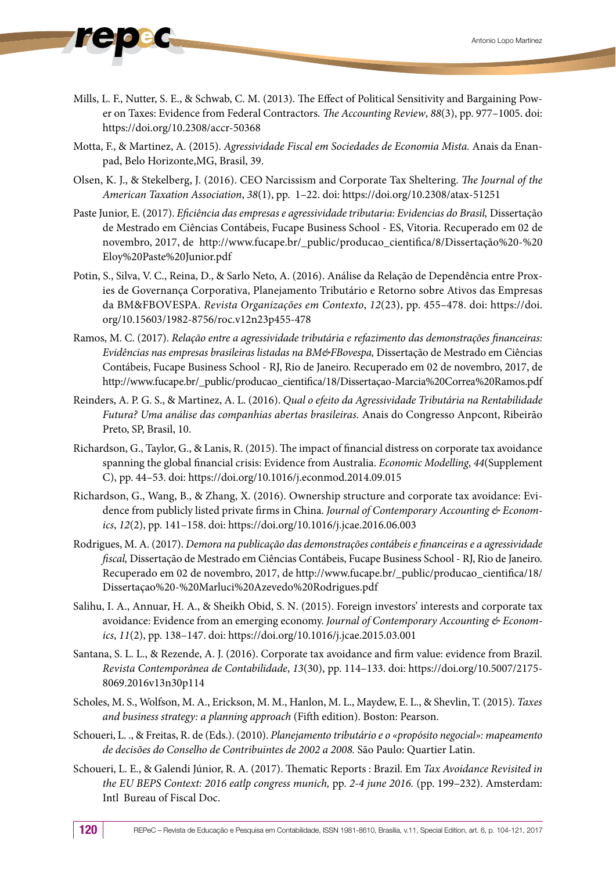- - Mills, L. F., Nutter, S. E., & Schwab, C. M. (2013). The Effect of Political Sensitivity and Bargaining Power on Taxes: Evidence from Federal Contractors. *The Accounting Review*, *88*(3), pp. 977–1005. doi: https://doi.org/10.2308/accr-50368
	- Motta, F., & Martinez, A. (2015). *Agressividade Fiscal em Sociedades de Economia Mista.* Anais da Enanpad, Belo Horizonte,MG, Brasil, 39.
	- Olsen, K. J., & Stekelberg, J. (2016). CEO Narcissism and Corporate Tax Sheltering. *The Journal of the American Taxation Association*, *38*(1), pp. 1–22. doi: https://doi.org/10.2308/atax-51251
	- Paste Junior, E. (2017). *Eficiência das empresas e agressividade tributaria: Evidencias do Brasil*, Dissertação de Mestrado em Ciências Contábeis, Fucape Business School - ES, Vitoria. Recuperado em 02 de novembro, 2017, de http://www.fucape.br/\_public/producao\_cientifica/8/Dissertação%20-%20 Eloy%20Paste%20Junior.pdf
	- Potin, S., Silva, V. C., Reina, D., & Sarlo Neto, A. (2016). Análise da Relação de Dependência entre Proxies de Governança Corporativa, Planejamento Tributário e Retorno sobre Ativos das Empresas da BM&FBOVESPA. *Revista Organizações em Contexto*, *12*(23), pp. 455–478. doi: https://doi. org/10.15603/1982-8756/roc.v12n23p455-478
	- Ramos, M. C. (2017). *Relação entre a agressividade tributária e refazimento das demonstrações financeiras: Evidências nas empresas brasileiras listadas na BM&FBovespa,* Dissertação de Mestrado em Ciências Contábeis, Fucape Business School - RJ, Rio de Janeiro. Recuperado em 02 de novembro, 2017, de http://www.fucape.br/\_public/producao\_cientifica/18/Dissertaçao-Marcia%20Correa%20Ramos.pdf
	- Reinders, A. P. G. S., & Martinez, A. L. (2016). *Qual o efeito da Agressividade Tributária na Rentabilidade Futura? Uma análise das companhias abertas brasileiras.* Anais do Congresso Anpcont, Ribeirão Preto, SP, Brasil, 10.
	- Richardson, G., Taylor, G., & Lanis, R. (2015). The impact of financial distress on corporate tax avoidance spanning the global financial crisis: Evidence from Australia. *Economic Modelling*, *44*(Supplement C), pp. 44–53. doi: https://doi.org/10.1016/j.econmod.2014.09.015
	- Richardson, G., Wang, B., & Zhang, X. (2016). Ownership structure and corporate tax avoidance: Evidence from publicly listed private firms in China. *Journal of Contemporary Accounting & Economics*, *12*(2), pp. 141–158. doi: https://doi.org/10.1016/j.jcae.2016.06.003
	- Rodrigues, M. A. (2017). *Demora na publicação das demonstrações contábeis e financeiras e a agressividade fiscal,* Dissertação de Mestrado em Ciências Contábeis, Fucape Business School - RJ, Rio de Janeiro. Recuperado em 02 de novembro, 2017, de http://www.fucape.br/\_public/producao\_cientifica/18/ Dissertaçao%20-%20Marluci%20Azevedo%20Rodrigues.pdf
	- Salihu, I. A., Annuar, H. A., & Sheikh Obid, S. N. (2015). Foreign investors' interests and corporate tax avoidance: Evidence from an emerging economy. *Journal of Contemporary Accounting & Economics*, *11*(2), pp. 138–147. doi: https://doi.org/10.1016/j.jcae.2015.03.001
	- Santana, S. L. L., & Rezende, A. J. (2016). Corporate tax avoidance and firm value: evidence from Brazil. *Revista Contemporânea de Contabilidade*, *13*(30), pp. 114–133. doi: https://doi.org/10.5007/2175- 8069.2016v13n30p114
	- Scholes, M. S., Wolfson, M. A., Erickson, M. M., Hanlon, M. L., Maydew, E. L., & Shevlin, T. (2015). *Taxes and business strategy: a planning approach* (Fifth edition). Boston: Pearson.
	- Schoueri, L. ., & Freitas, R. de (Eds.). (2010). *Planejamento tributário e o «propósito negocial»: mapeamento de decisões do Conselho de Contribuintes de 2002 a 2008.* São Paulo: Quartier Latin.
	- Schoueri, L. E., & Galendi Júnior, R. A. (2017). Thematic Reports : Brazil. Em *Tax Avoidance Revisited in the EU BEPS Context: 2016 eatlp congress munich,* pp. *2-4 june 2016.* (pp. 199–232). Amsterdam: Intl Bureau of Fiscal Doc.